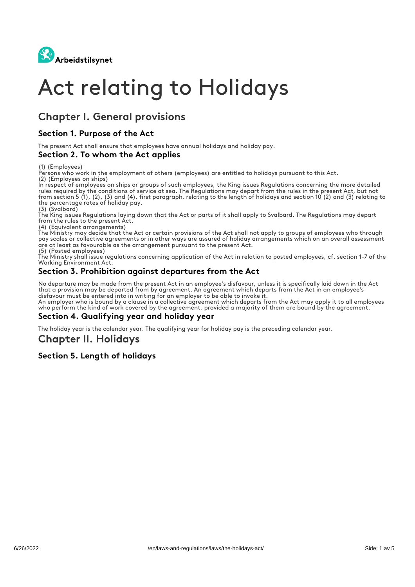

# Act relating to Holidays

# Chapter I. General provisions

### Section 1. Purpose of the Act

The present Act shall ensure that employees have annual holidays and holiday pay.

#### Section 2. To whom the Act applies

(1) (Employees)

Persons who work in the employment of others (employees) are entitled to holidays pursuant to this Act. (2) (Employees on ships)

In respect of employees on ships or groups of such employees, the King issues Regulations concerning the more detailed rules required by the conditions of service at sea. The Regulations may depart from the rules in the present Act, but not from section 5 (1), (2), (3) and (4), first paragraph, relating to the length of holidays and section 10 (2) and (3) relating to the percentage rates of holiday pay. (3) (Svalbard)

The King issues Regulations laying down that the Act or parts of it shall apply to Svalbard. The Regulations may depart from the rules to the present Act.

(4) (Equivalent arrangements)

The Ministry may decide that the Act or certain provisions of the Act shall not apply to groups of employees who through pay scales or collective agreements or in other ways are assured of holiday arrangements which on an overall assessment are at least as favourable as the arrangement pursuant to the present Act.

(5) (Posted employees)

The Ministry shall issue regulations concerning application of the Act in relation to posted employees, cf. section 1-7 of the Working Environment Act.

### Section 3. Prohibition against departures from the Act

No departure may be made from the present Act in an employee's disfavour, unless it is specifically laid down in the Act that a provision may be departed from by agreement. An agreement which departs from the Act in an employee's disfavour must be entered into in writing for an employer to be able to invoke it.

An employer who is bound by a clause in a collective agreement which departs from the Act may apply it to all employees who perform the kind of work covered by the agreement, provided a majority of them are bound by the agreement.

### Section 4. Qualifying year and holiday year

The holiday year is the calendar year. The qualifying year for holiday pay is the preceding calendar year.

# Chapter II. Holidays

### Section 5. Length of holidays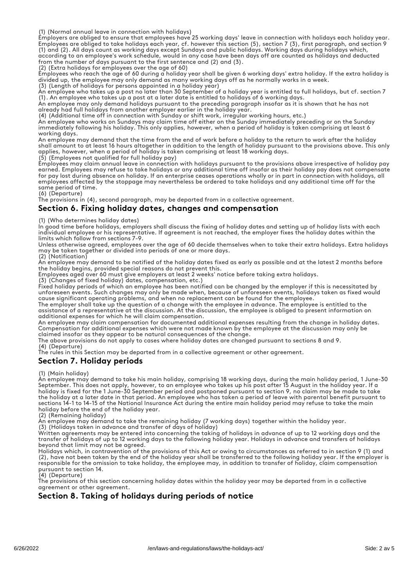(1) (Normal annual leave in connection with holidays)

Employers are obliged to ensure that employees have 25 working days' leave in connection with holidays each holiday year. Employees are obliged to take holidays each year, cf. however this section (5), section 7 (3), first paragraph, and section 9 (1) and (2). All days count as working days except Sundays and public holidays. Working days during holidays which,

according to an employee's work schedule, would in any case have been days off are counted as holidays and deducted from the number of days pursuant to the first sentence and (2) and (3). (2) (Extra holidays for employees over the age of 60)

Employees who reach the age of 60 during a holiday year shall be given 6 working days' extra holiday. If the extra holiday is divided up, the employee may only demand as many working days off as he normally works in a week.

(3) (Length of holidays for persons appointed in a holiday year)

An employee who takes up a post no later than 30 September of a holiday year is entitled to full holidays, but cf. section 7 (1). An employee who takes up a post at a later date is entitled to holidays of 6 working days. An employee may only demand holidays pursuant to the preceding paragraph insofar as it is shown that he has not

already had full holidays from another employer earlier in the holiday year.

(4) (Additional time off in connection with Sunday or shift work, irregular working hours, etc.)

An employee who works on Sundays may claim time off either on the Sunday immediately preceding or on the Sunday immediately following his holiday. This only applies, however, when a period of holiday is taken comprising at least 6 working days.

An employee may demand that the time from the end of work before a holiday to the return to work after the holiday shall amount to at least 16 hours altogether in addition to the length of holiday pursuant to the provisions above. This only applies, however, when a period of holiday is taken comprising at least 18 working days. (5) (Employees not qualified for full holiday pay)

Employees may claim annual leave in connection with holidays pursuant to the provisions above irrespective of holiday pay earned. Employees may refuse to take holidays or any additional time off insofar as their holiday pay does not compensate for pay lost during absence on holiday. If an enterprise ceases operations wholly or in part in connection with holidays, all employees affected by the stoppage may nevertheless be ordered to take holidays and any additional time off for the same period of time.

(6) (Departure)

The provisions in (4), second paragraph, may be departed from in a collective agreement.

### Section 6. Fixing holiday dates, changes and compensation

(1) (Who determines holiday dates)

In good time before holidays, employers shall discuss the fixing of holiday dates and setting up of holiday lists with each individual employee or his representative. If agreement is not reached, the employer fixes the holiday dates within the limits which follow from sections 7-9.

Unless otherwise agreed, employees over the age of 60 decide themselves when to take their extra holidays. Extra holidays may be taken together or divided into periods of one or more days. (2) (Notification)

An employee may demand to be notified of the holiday dates fixed as early as possible and at the latest 2 months before the holiday begins, provided special reasons do not prevent this.

Employees aged over 60 must give employers at least 2 weeks' notice before taking extra holidays.

(3) (Changes of fixed holiday) dates, compensation, etc.)

Fixed holiday periods of which an employee has been notified can be changed by the employer if this is necessitated by unforeseen events. Such changes may only be made when, because of unforeseen events, holidays taken as fixed would cause significant operating problems, and when no replacement can be found for the employee.

The employer shall take up the question of a change with the employee in advance. The employee is entitled to the assistance of a representative at the discussion. At the discussion, the employee is obliged to present information on additional expenses for which he will claim compensation.

An employee may claim compensation for documented additional expenses resulting from the change in holiday dates. Compensation for additional expenses which were not made known by the employee at the discussion may only be claimed insofar as they appear to be natural consequences of the change.

The above provisions do not apply to cases where holiday dates are changed pursuant to sections 8 and 9.

(4) (Departure)

The rules in this Section may be departed from in a collective agreement or other agreement.

### Section 7. Holiday periods

(1) (Main holiday)

An employee may demand to take his main holiday, comprising 18 working days, during the main holiday period, 1 June-30 September. This does not apply, however, to an employee who takes up his post after 15 August in the holiday year. If a holiday is fixed for the 1 June-30 September period and postponed pursuant to section 9, no claim may be made to take the holiday at a later date in that period. An employee who has taken a period of leave with parental benefit pursuant to sections 14-1 to 14-15 of the National Insurance Act during the entire main holiday period may refuse to take the main holiday before the end of the holiday year.

(2) (Remaining holiday)

An employee may demand to take the remaining holiday (7 working days) together within the holiday year.

(3) (Holidays taken in advance and transfer of days of holiday)

Written agreements may be entered into concerning the taking of holidays in advance of up to 12 working days and the transfer of holidays of up to 12 working days to the following holiday year. Holidays in advance and transfers of holidays beyond that limit may not be agreed.

Holidays which, in contravention of the provisions of this Act or owing to circumstances as referred to in section 9 (1) and (2), have not been taken by the end of the holiday year shall be transferred to the following holiday year. If the employer is responsible for the omission to take holiday, the employee may, in addition to transfer of holiday, claim compensation pursuant to section 14.

(4) (Departure)

The provisions of this section concerning holiday dates within the holiday year may be departed from in a collective agreement or other agreement.

### Section 8. Taking of holidays during periods of notice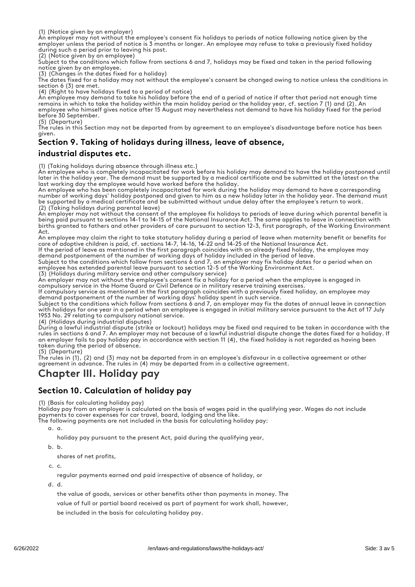(1) (Notice given by an employer)

An employer may not without the employee's consent fix holidays to periods of notice following notice given by the employer unless the period of notice is 3 months or longer. An employee may refuse to take a previously fixed holiday during such a period prior to leaving his post.

(2) (Notice given by an employee)

Subject to the conditions which follow from sections 6 and 7, holidays may be fixed and taken in the period following notice given by an employee.

(3) (Changes in the dates fixed for a holiday)

The dates fixed for a holiday may not without the employee's consent be changed owing to notice unless the conditions in section 6 (3) are met.

(4) (Right to have holidays fixed to a period of notice)

An employee may demand to take his holiday before the end of a period of notice if after that period not enough time remains in which to take the holiday within the main holiday period or the holiday year, cf. section 7 (1) and (2). An employee who himself gives notice after 15 August may nevertheless not demand to have his holiday fixed for the period before 30 September.

(5) (Departure) The rules in this Section may not be departed from by agreement to an employee's disadvantage before notice has been given.

# Section 9. Taking of holidays during illness, leave of absence,

### industrial disputes etc.

(1) (Taking holidays during absence through illness etc.)

An employee who is completely incapacitated for work before his holiday may demand to have the holiday postponed until later in the holiday year. The demand must be supported by a medical certificate and be submitted at the latest on the last working day the employee would have worked before the holiday.

An employee who has been completely incapacitated for work during the holiday may demand to have a corresponding number of working days' holiday postponed and given to him as a new holiday later in the holiday year. The demand must be supported by a medical certificate and be submitted without undue delay after the employee's return to work. (2) (Taking holidays during parental leave)

An employer may not without the consent of the employee fix holidays to periods of leave during which parental benefit is being paid pursuant to sections 14-1 to 14-15 of the National Insurance Act. The same applies to leave in connection with births granted to fathers and other providers of care pursuant to section 12-3, first paragraph, of the Working Environment  $\Delta$ ct

An employee may claim the right to take statutory holiday during a period of leave when maternity benefit or benefits for care of adoptive children is paid, cf. sections 14-7, 14-16, 14-22 and 14-25 of the National Insurance Act.

If the period of leave as mentioned in the first paragraph coincides with an already fixed holiday, the employee may demand postponement of the number of working days of holiday included in the period of leave

Subject to the conditions which follow from sections 6 and 7, an employer may fix holiday dates for a period when an employee has extended parental leave pursuant to section 12-5 of the Working Environment Act.

(3) (Holidays during military service and other compulsory service)

An employer may not without the employee's consent fix a holiday for a period when the employee is engaged in compulsory service in the Home Guard or Civil Defence or in military reserve training exercises.

If compulsory service as mentioned in the first paragraph coincides with a previously fixed holiday, an employee may demand postponement of the number of working days' holiday spent in such service.

Subject to the conditions which follow from sections 6 and 7, an employer may fix the dates of annual leave in connection with holidays for one year in a period when an employee is engaged in initial military service pursuant to the Act of 17 July 1953 No. 29 relating to compulsory national service.

(4) (Holidays during industrial disputes)

During a lawful industrial dispute (strike or lockout) holidays may be fixed and required to be taken in accordance with the rules in sections 6 and 7. An employer may not because of a lawful industrial dispute change the dates fixed for a holiday. If an employer fails to pay holiday pay in accordance with section 11 (4), the fixed holiday is not regarded as having been taken during the period of absence.

(5) (Departure)

The rules in (1), (2) and (3) may not be departed from in an employee's disfavour in a collective agreement or other agreement in advance. The rules in (4) may be departed from in a collective agreement.

# Chapter III. Holiday pay

# Section 10. Calculation of holiday pay

(1) (Basis for calculating holiday pay)

Holiday pay from an employer is calculated on the basis of wages paid in the qualifying year. Wages do not include payments to cover expenses for car travel, board, lodging and the like.

The following payments are not included in the basis for calculating holiday pay:

a. a.

holiday pay pursuant to the present Act, paid during the qualifying year,

b. b.

shares of net profits,

c. c.

regular payments earned and paid irrespective of absence of holiday, or

d. d.

the value of goods, services or other benefits other than payments in money. The value of full or partial board received as part of payment for work shall, however, be included in the basis for calculating holiday pay.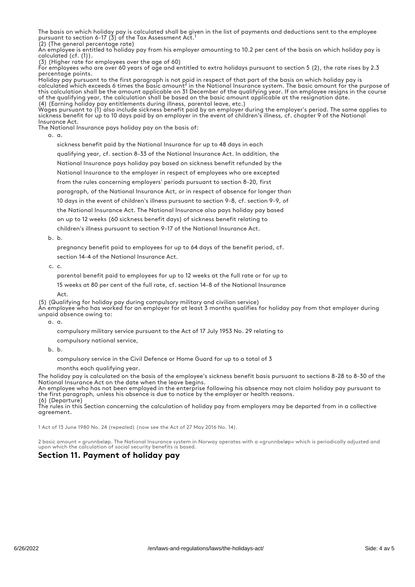The basis on which holiday pay is calculated shall be given in the list of payments and deductions sent to the employee pursuant to section 6-17 (3) of the Tax Assessment Act.<sup>1</sup>

(2) (The general percentage rate) An employee is entitled to holiday pay from his employer amounting to 10.2 per cent of the basis on which holiday pay is calculated (cf. (1)).

(3) (Higher rate for employees over the age of 60)

For employees who are over 60 years of age and entitled to extra holidays pursuant to section 5 (2), the rate rises by 2.3 percentage points.

Holiday pay pursuant to the first paragraph is not paid in respect of that part of the basis on which holiday pay is calculated which exceeds 6 times the basic amount<sup>2</sup> in the National Insurance system. The basic amount for the purpose of this calculation shall be the amount applicable on 31 December of the qualifying year. If an employee resigns in the course of the qualifying year, the calculation shall be based on the basic amount applicable at the resignation date. (4) (Earning holiday pay entitlements during illness, parental leave, etc.) 2

Wages pursuant to (1) also include sickness benefit paid by an employer during the employer's period. The same applies to sickness benefit for up to 10 days paid by an employer in the event of children's illness, cf. chapter 9 of the National Insurance Act.

The National Insurance pays holiday pay on the basis of:

a. a.

sickness benefit paid by the National Insurance for up to 48 days in each qualifying year, cf. section 8-33 of the National Insurance Act. In addition, the National Insurance pays holiday pay based on sickness benefit refunded by the National Insurance to the employer in respect of employees who are excepted from the rules concerning employers' periods pursuant to section 8-20, first paragraph, of the National Insurance Act, or in respect of absence for longer than 10 days in the event of children's illness pursuant to section 9-8, cf. section 9-9, of the National Insurance Act. The National Insurance also pays holiday pay based on up to 12 weeks (60 sickness benefit days) of sickness benefit relating to children's illness pursuant to section 9-17 of the National Insurance Act.

b. b.

pregnancy benefit paid to employees for up to 64 days of the benefit period, cf.

section 14-4 of the National Insurance Act.

c. c.

parental benefit paid to employees for up to 12 weeks at the full rate or for up to 15 weeks at 80 per cent of the full rate, cf. section 14-8 of the National Insurance

Act.

(5) (Qualifying for holiday pay during compulsory military and civilian service) An employee who has worked for an employer for at least 3 months qualifies for holiday pay from that employer during unpaid absence owing to:

a. a.

compulsory military service pursuant to the Act of 17 July 1953 No. 29 relating to

compulsory national service,

b. b.

compulsory service in the Civil Defence or Home Guard for up to a total of 3

months each qualifying year.

The holiday pay is calculated on the basis of the employee's sickness benefit basis pursuant to sections 8-28 to 8-30 of the National Insurance Act on the date when the leave begins.

An employee who has not been employed in the enterprise following his absence may not claim holiday pay pursuant to the first paragraph, unless his absence is due to notice by the employer or health reasons. (6) (Departure)

The rules in this Section concerning the calculation of holiday pay from employers may be departed from in a collective agreement.

1 Act of 13 June 1980 No. 24 (repealed) (now see the Act of 27 May 2016 No. 14).

2 basic amount = grunnbeløp. The National Insurance system in Norway operates with a «grunnbeløp» which is periodically adjusted and upon which the calculation of social security benefits is based.

### Section 11. Payment of holiday pay